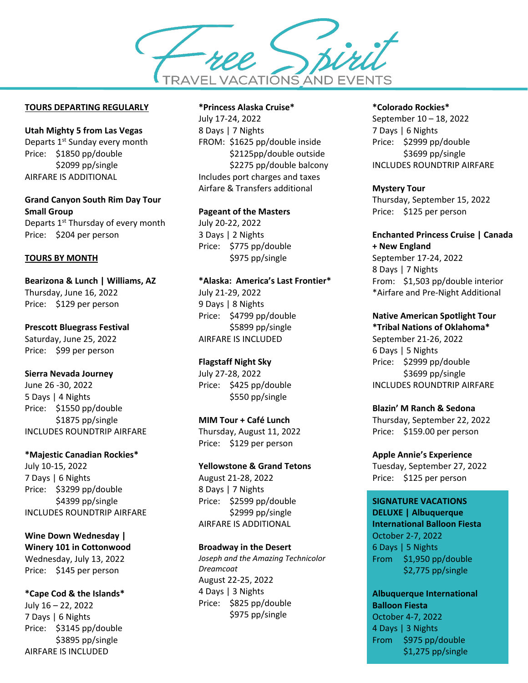

## **TOURS DEPARTING REGULARLY**

**Utah Mighty 5 from Las Vegas** Departs 1<sup>st</sup> Sunday every month Price: \$1850 pp/double \$2099 pp/single AIRFARE IS ADDITIONAL

**Grand Canyon South Rim Day Tour Small Group** Departs 1<sup>st</sup> Thursday of every month Price: \$204 per person

#### **TOURS BY MONTH**

**Bearizona & Lunch | Williams, AZ** Thursday, June 16, 2022 Price: \$129 per person

**Prescott Bluegrass Festival**

Saturday, June 25, 2022 Price: \$99 per person

#### **Sierra Nevada Journey**

June 26 -30, 2022 5 Days | 4 Nights Price: \$1550 pp/double \$1875 pp/single INCLUDES ROUNDTRIP AIRFARE

## **\*Majestic Canadian Rockies\***

July 10-15, 2022 7 Days | 6 Nights Price: \$3299 pp/double \$4399 pp/single INCLUDES ROUNDTRIP AIRFARE

**Wine Down Wednesday | Winery 101 in Cottonwood** Wednesday, July 13, 2022 Price: \$145 per person

**\*Cape Cod & the Islands\*** July 16 – 22, 2022 7 Days | 6 Nights Price: \$3145 pp/double \$3895 pp/single AIRFARE IS INCLUDED

#### **\*Princess Alaska Cruise\***

July 17-24, 2022 8 Days | 7 Nights FROM: \$1625 pp/double inside \$2125pp/double outside \$2275 pp/double balcony Includes port charges and taxes Airfare & Transfers additional

#### **Pageant of the Masters**

July 20-22, 2022 3 Days | 2 Nights Price: \$775 pp/double \$975 pp/single

## **\*Alaska: America's Last Frontier\***

July 21-29, 2022 9 Days | 8 Nights Price: \$4799 pp/double \$5899 pp/single AIRFARE IS INCLUDED

## **Flagstaff Night Sky**

July 27-28, 2022 Price: \$425 pp/double \$550 pp/single

#### **MIM Tour + Café Lunch**

Thursday, August 11, 2022 Price: \$129 per person

#### **Yellowstone & Grand Tetons**

August 21-28, 2022 8 Days | 7 Nights Price: \$2599 pp/double \$2999 pp/single AIRFARE IS ADDITIONAL

## **Broadway in the Desert**

*Joseph and the Amazing Technicolor Dreamcoat* August 22-25, 2022 4 Days | 3 Nights Price: \$825 pp/double \$975 pp/single

#### **\*Colorado Rockies\***

September 10 – 18, 2022 7 Days | 6 Nights Price: \$2999 pp/double \$3699 pp/single INCLUDES ROUNDTRIP AIRFARE

#### **Mystery Tour**

Thursday, September 15, 2022 Price: \$125 per person

## **Enchanted Princess Cruise | Canada**

**+ New England** September 17-24, 2022 8 Days | 7 Nights From: \$1,503 pp/double interior \*Airfare and Pre-Night Additional

## **Native American Spotlight Tour**

**\*Tribal Nations of Oklahoma\*** September 21-26, 2022 6 Days | 5 Nights Price: \$2999 pp/double \$3699 pp/single INCLUDES ROUNDTRIP AIRFARE

## **Blazin' M Ranch & Sedona**

Thursday, September 22, 2022 Price: \$159.00 per person

**Apple Annie's Experience** Tuesday, September 27, 2022 Price: \$125 per person

# **SIGNATURE VACATIONS**

**DELUXE | Albuquerque International Balloon Fiesta** October 2-7, 2022 6 Days | 5 Nights From \$1,950 pp/double \$2,775 pp/single

**Albuquerque International Balloon Fiesta** October 4-7, 2022 4 Days | 3 Nights

From \$975 pp/double \$1,275 pp/single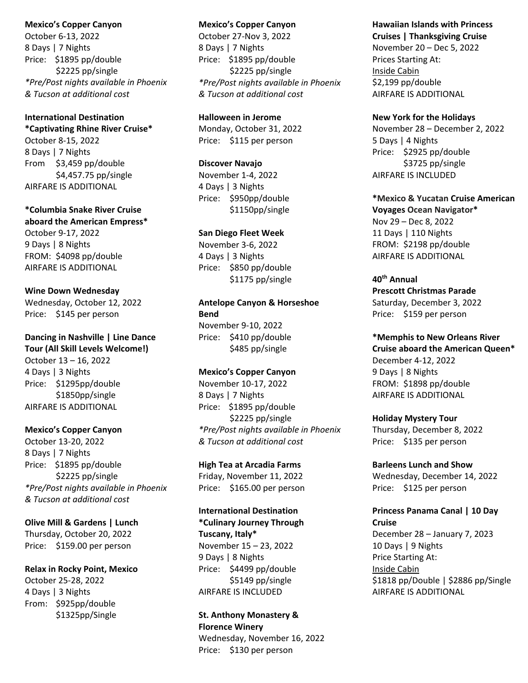#### **Mexico's Copper Canyon**

October 6-13, 2022 8 Days | 7 Nights Price: \$1895 pp/double \$2225 pp/single *\*Pre/Post nights available in Phoenix & Tucson at additional cost*

## **International Destination**

**\*Captivating Rhine River Cruise\*** October 8-15, 2022 8 Days | 7 Nights From \$3,459 pp/double \$4,457.75 pp/single AIRFARE IS ADDITIONAL

## **\*Columbia Snake River Cruise aboard the American Empress\***

October 9-17, 2022 9 Days | 8 Nights FROM: \$4098 pp/double AIRFARE IS ADDITIONAL

## **Wine Down Wednesday**

Wednesday, October 12, 2022 Price: \$145 per person

# **Dancing in Nashville | Line Dance**

**Tour (All Skill Levels Welcome!)** October 13 – 16, 2022 4 Days | 3 Nights Price: \$1295pp/double \$1850pp/single AIRFARE IS ADDITIONAL

## **Mexico's Copper Canyon**

October 13-20, 2022 8 Days | 7 Nights Price: \$1895 pp/double \$2225 pp/single *\*Pre/Post nights available in Phoenix & Tucson at additional cost*

## **Olive Mill & Gardens | Lunch**

Thursday, October 20, 2022 Price: \$159.00 per person

## **Relax in Rocky Point, Mexico**

October 25-28, 2022 4 Days | 3 Nights From: \$925pp/double \$1325pp/Single

#### **Mexico's Copper Canyon**

October 27-Nov 3, 2022 8 Days | 7 Nights Price: \$1895 pp/double \$2225 pp/single *\*Pre/Post nights available in Phoenix & Tucson at additional cost*

## **Halloween in Jerome**

Monday, October 31, 2022 Price: \$115 per person

#### **Discover Navajo**

November 1-4, 2022 4 Days | 3 Nights Price: \$950pp/double \$1150pp/single

## **San Diego Fleet Week**

November 3-6, 2022 4 Days | 3 Nights Price: \$850 pp/double \$1175 pp/single

## **Antelope Canyon & Horseshoe Bend**  November 9-10, 2022

Price: \$410 pp/double \$485 pp/single

## **Mexico's Copper Canyon**

November 10-17, 2022 8 Days | 7 Nights Price: \$1895 pp/double \$2225 pp/single *\*Pre/Post nights available in Phoenix & Tucson at additional cost*

## **High Tea at Arcadia Farms**

Friday, November 11, 2022 Price: \$165.00 per person

## **International Destination**

**\*Culinary Journey Through Tuscany, Italy\*** November 15 – 23, 2022 9 Days | 8 Nights Price: \$4499 pp/double \$5149 pp/single AIRFARE IS INCLUDED

#### **St. Anthony Monastery & Florence Winery**

Wednesday, November 16, 2022 Price: \$130 per person

## **Hawaiian Islands with Princess Cruises | Thanksgiving Cruise**

November 20 – Dec 5, 2022 Prices Starting At: Inside Cabin \$2,199 pp/double AIRFARE IS ADDITIONAL

#### **New York for the Holidays**

November 28 – December 2, 2022 5 Days | 4 Nights Price: \$2925 pp/double \$3725 pp/single AIRFARE IS INCLUDED

# **\*Mexico & Yucatan Cruise American**

**Voyages Ocean Navigator\***  Nov 29 – Dec 8, 2022 11 Days | 110 Nights FROM: \$2198 pp/double AIRFARE IS ADDITIONAL

## **40th Annual**

**Prescott Christmas Parade** Saturday, December 3, 2022 Price: \$159 per person

## **\*Memphis to New Orleans River**

**Cruise aboard the American Queen\*** December 4-12, 2022 9 Days | 8 Nights FROM: \$1898 pp/double AIRFARE IS ADDITIONAL

#### **Holiday Mystery Tour**

Thursday, December 8, 2022 Price: \$135 per person

## **Barleens Lunch and Show**

Wednesday, December 14, 2022 Price: \$125 per person

## **Princess Panama Canal | 10 Day Cruise**

December 28 – January 7, 2023 10 Days | 9 Nights Price Starting At: Inside Cabin \$1818 pp/Double | \$2886 pp/Single AIRFARE IS ADDITIONAL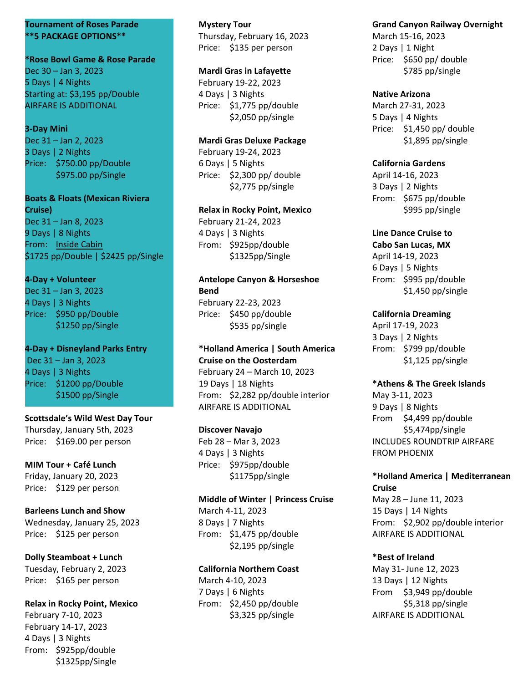#### **Tournament of Roses Parade \*\*5 PACKAGE OPTIONS\*\***

**\*Rose Bowl Game & Rose Parade** Dec 30 – Jan 3, 2023 5 Days | 4 Nights Starting at: \$3,195 pp/Double AIRFARE IS ADDITIONAL

## **3-Day Mini**

Dec 31 – Jan 2, 2023 3 Days | 2 Nights Price: \$750.00 pp/Double \$975.00 pp/Single

# **Boats & Floats (Mexican Riviera**

**Cruise)** Dec 31 – Jan 8, 2023 9 Days | 8 Nights From: Inside Cabin \$1725 pp/Double | \$2425 pp/Single

## **4-Day + Volunteer**

Dec 31 – Jan 3, 2023 4 Days | 3 Nights Price: \$950 pp/Double \$1250 pp/Single

**4-Day + Disneyland Parks Entry** Dec 31 – Jan 3, 2023 4 Days | 3 Nights Price: \$1200 pp/Double \$1500 pp/Single

**Scottsdale's Wild West Day Tour** Thursday, January 5th, 2023 Price: \$169.00 per person

**MIM Tour + Café Lunch** Friday, January 20, 2023 Price: \$129 per person

# **Barleens Lunch and Show**

Wednesday, January 25, 2023 Price: \$125 per person

## **Dolly Steamboat + Lunch**

Tuesday, February 2, 2023 Price: \$165 per person

## **Relax in Rocky Point, Mexico**

February 7-10, 2023 February 14-17, 2023 4 Days | 3 Nights From: \$925pp/double \$1325pp/Single **Mystery Tour** Thursday, February 16, 2023 Price: \$135 per person

## **Mardi Gras in Lafayette**

February 19-22, 2023 4 Days | 3 Nights Price: \$1,775 pp/double \$2,050 pp/single

## **Mardi Gras Deluxe Package**

February 19-24, 2023 6 Days | 5 Nights Price: \$2,300 pp/ double \$2,775 pp/single

## **Relax in Rocky Point, Mexico**

February 21-24, 2023 4 Days | 3 Nights From: \$925pp/double \$1325pp/Single

## **Antelope Canyon & Horseshoe Bend**

February 22-23, 2023 Price: \$450 pp/double \$535 pp/single

## **\*Holland America | South America Cruise on the Oosterdam** February 24 – March 10, 2023 19 Days | 18 Nights From: \$2,282 pp/double interior AIRFARE IS ADDITIONAL

## **Discover Navajo**

Feb 28 – Mar 3, 2023 4 Days | 3 Nights Price: \$975pp/double \$1175pp/single

## **Middle of Winter | Princess Cruise** March 4-11, 2023 8 Days | 7 Nights

From: \$1,475 pp/double \$2,195 pp/single

## **California Northern Coast**

March 4-10, 2023 7 Days | 6 Nights From: \$2,450 pp/double \$3,325 pp/single

## **Grand Canyon Railway Overnight**

March 15-16, 2023 2 Days | 1 Night Price: \$650 pp/ double \$785 pp/single

## **Native Arizona**

March 27-31, 2023 5 Days | 4 Nights Price: \$1,450 pp/ double \$1,895 pp/single

## **California Gardens**

April 14-16, 2023 3 Days | 2 Nights From: \$675 pp/double \$995 pp/single

# **Line Dance Cruise to**

**Cabo San Lucas, MX** April 14-19, 2023 6 Days | 5 Nights From: \$995 pp/double \$1,450 pp/single

## **California Dreaming**

April 17-19, 2023 3 Days | 2 Nights From: \$799 pp/double \$1,125 pp/single

## **\*Athens & The Greek Islands**

May 3-11, 2023 9 Days | 8 Nights From \$4,499 pp/double \$5,474pp/single INCLUDES ROUNDTRIP AIRFARE FROM PHOENIX

## **\*Holland America | Mediterranean Cruise**

May 28 – June 11, 2023 15 Days | 14 Nights From: \$2,902 pp/double interior AIRFARE IS ADDITIONAL

## **\*Best of Ireland**

May 31- June 12, 2023 13 Days | 12 Nights From \$3,949 pp/double \$5,318 pp/single AIRFARE IS ADDITIONAL